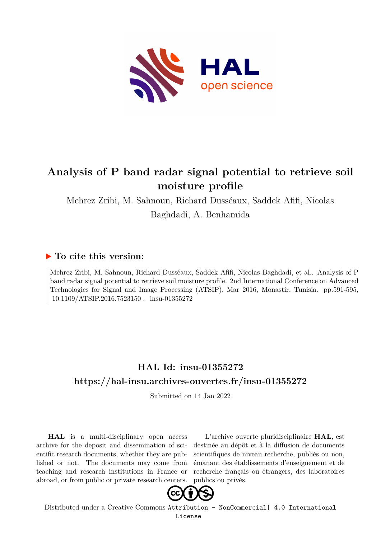

## **Analysis of P band radar signal potential to retrieve soil moisture profile**

Mehrez Zribi, M. Sahnoun, Richard Dusséaux, Saddek Afifi, Nicolas Baghdadi, A. Benhamida

### **To cite this version:**

Mehrez Zribi, M. Sahnoun, Richard Dusséaux, Saddek Afifi, Nicolas Baghdadi, et al.. Analysis of P band radar signal potential to retrieve soil moisture profile. 2nd International Conference on Advanced Technologies for Signal and Image Processing (ATSIP), Mar 2016, Monastir, Tunisia. pp.591-595, 10.1109/ATSIP.2016.7523150. insu-01355272

## **HAL Id: insu-01355272 <https://hal-insu.archives-ouvertes.fr/insu-01355272>**

Submitted on 14 Jan 2022

**HAL** is a multi-disciplinary open access archive for the deposit and dissemination of scientific research documents, whether they are published or not. The documents may come from teaching and research institutions in France or abroad, or from public or private research centers.

L'archive ouverte pluridisciplinaire **HAL**, est destinée au dépôt et à la diffusion de documents scientifiques de niveau recherche, publiés ou non, émanant des établissements d'enseignement et de recherche français ou étrangers, des laboratoires publics ou privés.



Distributed under a Creative Commons [Attribution - NonCommercial| 4.0 International](http://creativecommons.org/licenses/by-nc/4.0/) [License](http://creativecommons.org/licenses/by-nc/4.0/)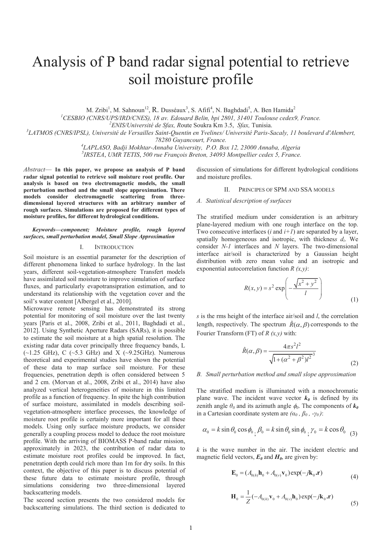# Analysis of P band radar signal potential to retrieve soil moisture profile

M. Zribi<sup>1</sup>, M. Sahnoun<sup>12</sup>, R. Dusséaux<sup>3</sup>, S. Afifi<sup>4</sup>, N. Baghdadi<sup>5</sup>, A. Ben Hamida<sup>2</sup>

*<sup>1</sup>CESBIO (CNRS/UPS/IRD/CNES), 18 av. Edouard Belin, bpi 2801, 31401 Toulouse cedex9, France.*

*<sup>2</sup>ENIS/Université de Sfax, R*oute Soukra Km 3.5, *Sfax,* Tunisia.

*3 LATMOS (CNRS/IPSL), Université de Versailles Saint-Quentin en Yvelines/ Université Paris-Sacaly, 11 boulevard d'Alembert,* 

*78280 Guyancourt, France.* 

*4 LAPLASO, Badji Mokhtar-Annaba University, P.O. Box 12, 23000 Annaba, Algeria* 

*5 IRSTEA*, *UMR TETIS*, *500 rue François Breton, 34093 Montpellier cedex 5, France.*

*Abstract*— **In this paper, we propose an analysis of P band radar signal potential to retrieve soil moisture root profile. Our analysis is based on two electromagnetic models, the small perturbation method and the small slope approximation. There models consider electromagnetic scattering from threedimensional layered structures with an arbitrary number of rough surfaces. Simulations are proposed for different types of moisture profiles, for different hydrological conditions.** 

#### *Keywords—component; Moisture profile, rough layered surfaces, small perturbation model, Small Slope Approximation*

#### I. INTRODUCTION

Soil moisture is an essential parameter for the description of different phenomena linked to surface hydrology. In the last years, different soil-vegetation-atmosphere Transfert models have assimilated soil moisture to improve simulation of surface fluxes, and particularly evapotransipration estimation, and to understand its relationship with the vegetation cover and the soil's water content [Albergel et al., 2010].

Microwave remote sensing has demonstrated its strong potential for monitoring of soil moisture over the last twenty years [Paris et al., 2008, Zribi et al., 2011, Baghdadi et al., 2012]. Using Synthetic Aperture Radars (SARs), it is possible to estimate the soil moisture at a high spatial resolution. The existing radar data cover principally three frequency bands, L  $(\sim1.25 \text{ GHz})$ , C  $(\sim5.3 \text{ GHz})$  and X  $(\sim9.25 \text{ GHz})$ . Numerous theoretical and experimental studies have shown the potential of these data to map surface soil moisture. For these frequencies, penetration depth is often considered between 5 and 2 cm. (Morvan et al., 2008, Zribi et al., 2014) have also analyzed vertical heterogeneities of moisture in this limited profile as a function of frequency. In spite the high contribution of surface moisture, assimilated in models describing soilvegetation-atmosphere interface processes, the knowledge of moisture root profile is certainly more important for all these models. Using only surface moisture products, we consider generally a coupling process model to deduce the root moisture profile. With the arriving of BIOMASS P-band radar mission, approximately in 2023, the contribution of radar data to estimate moisture root profiles could be improved. In fact, penetration depth could rich more than 1m for dry soils. In this context, the objective of this paper is to discuss potential of these future data to estimate moisture profile, through simulations considering two three-dimensional layered backscattering models.

The second section presents the two considered models for backscattering simulations. The third section is dedicated to discussion of simulations for different hydrological conditions and moisture profiles.

#### II. PRINCIPES OF SPM AND SSA MODELS

#### *A. Statistical description of surfaces*

The stratified medium under consideration is an arbitrary plane-layered medium with one rough interface on the top. Two consecutive interfaces (*i* and *i+1*) are separated by a layer, spatially homogeneous and isotropic, with thicknes*s d<sup>i</sup>* . We consider *N-1* interfaces and *N* layers. The two-dimensional interface air/soil is characterized by a Gaussian height distribution with zero mean value and an isotropic and exponential autocorrelation function *R (x,y)*:

$$
R(x, y) = s2 \exp\left(-\frac{\sqrt{x^{2} + y^{2}}}{l}\right)
$$
 (1)

*s* is the rms height of the interface air/soil and *l*, the correlation length, respectively. The spectrum  $\hat{R}(\alpha, \beta)$  corresponds to the Fourier Transform (FT) of *R (x,y)* with:

$$
\hat{R}(\alpha, \beta) = \frac{4\pi s^2 l^2}{\sqrt{1 + (\alpha^2 + \beta^2)l^2}^3}
$$
\n(2)

#### *B. Small perturbation method and small slope approximation*

The stratified medium is illuminated with a monochromatic plane wave. The incident wave vector  $k_{\theta}$  is defined by its zenith angle  $\theta$ <sup>0</sup> and its azimuth angle  $\phi$ <sup>0</sup>. The components of  $k$ <sup>0</sup> in a Cartesian coordinate system are  $(\alpha_0, \beta_0, -\gamma_0)$ :

$$
\alpha_0 = k \sin \theta_0 \cos \phi_0
$$
\n
$$
\beta_0 = k \sin \theta_0 \sin \phi_0
$$
\n
$$
\gamma_0 = k \cos \theta_0
$$
\n
$$
\gamma_0 = k \cos \theta_0
$$
\n
$$
\gamma_0 = k \cos \theta_0
$$

*k* is the wave number in the air. The incident electric and magnetic field vectors,  $E_{\theta}$  and  $H_{\theta}$ , are given by:

$$
\mathbf{E}_0 = (A_{0(h)}\mathbf{h}_0 + A_{0(v)}\mathbf{v}_0)\exp(-j\mathbf{k}_0 \cdot \mathbf{r})
$$
\n(4)

$$
\mathbf{H}_{0} = \frac{1}{Z} \left( -A_{0(h)} \mathbf{v}_{0} + A_{0(v)} \mathbf{h}_{0} \right) \exp(-j \mathbf{k}_{0} \cdot \mathbf{r})
$$
(5)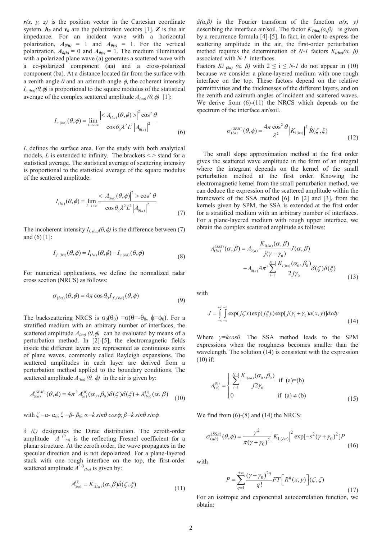$r(x, y, z)$  is the position vector in the Cartesian coordinate system.  $h_{\theta}$  and  $v_{\theta}$  are the polarization vectors [1]. **Z** is the air impedance. For an incident wave with a horizontal polarization,  $A_{\theta(h)} = 1$  and  $A_{\theta(v)} = 1$ . For the vertical polarization,  $A_{\theta(h)} = 0$  and  $A_{\theta(v)} = 1$ . The medium illuminated with a polarized plane wave (a) generates a scattered wave with a co-polarized component (aa) and a cross-polarized component (ba). At a distance located far from the surface with a zenith angle  $\theta$  and an azimuth angle  $\phi$ , the coherent intensity  $I_{c, (ba)}(\theta, \phi)$  is proportional to the square modulus of the statistical average of the complex scattered amplitude  $A_{(aa)}(\theta, \phi)$  [1]:

$$
I_{c,(ba)}(\theta,\phi) = \lim_{L \to +\infty} \frac{\left| \langle A_{(ba)}(\theta,\phi) \rangle \right|^2 \cos^2 \theta}{\cos \theta_0 \lambda^2 L^2 \left| A_{0(a)} \right|^2}
$$
(6)

*L* defines the surface area. For the study with both analytical models,  $L$  is extended to infinity. The brackets  $\leq$   $>$  stand for a statistical average. The statistical average of scattering intensity is proportional to the statistical average of the square modulus of the scattered amplitude:

$$
I_{(ba)}(\theta,\phi) = \lim_{L \to +\infty} \frac{\langle A_{(ba)}(\theta,\phi) \rangle^2 > \cos^2 \theta}{\cos \theta_0 \lambda^2 L^2 \left| A_{0(a)} \right|^2} \tag{7}
$$

The incoherent intensity  $I_f_{(ba)}(\theta, \phi)$  is the difference between (7) and  $(6)$  [1]:

$$
I_{f,(ba)}(\theta,\phi) = I_{(ba)}(\theta,\phi) - I_{c,(ba)}(\theta,\phi)
$$
\n(8)

For numerical applications, we define the normalized radar cross section (NRCS) as follows:

$$
\sigma_{(ba)}(\theta,\phi) = 4\pi \cos \theta_0 I_{f,(ba)}(\theta,\phi)
$$
\n(9)

The backscattering NRCS is  $\sigma_0(\theta_0) = \sigma(\theta = -\theta_0, \phi = \phi_0)$ . For a stratified medium with an arbitrary number of interfaces, the scattered amplitude  $A_{(aa)} (\theta, \phi)$  can be evaluated by means of a perturbation method. In [2]-[5], the electromagnetic fields inside the different layers are represented as continuous sums of plane waves, commonly called Rayleigh expansions. The scattered amplitudes in each layer are derived from a perturbation method applied to the boundary conditions. The scattered amplitude  $A_{(ba)}(\theta, \phi)$  in the air is given by:

$$
A_{(ba)}^{(SPM)}(\theta,\phi) = 4\pi^2 A_{(a)}^{(0)}(\alpha_0,\beta_0) \delta(\zeta) \delta(\xi) + A_{(ba)}^{(1)}(\alpha,\beta) \tag{10}
$$

with  $\zeta = \alpha - \alpha_0$ ;  $\zeta = \beta - \beta_0$ ;  $\alpha = k \sin\theta \cos\phi$ ;  $\beta = k \sin\theta \sin\phi$ .

*δ (ζ)* designates the Dirac distribution. The zeroth-order amplitude  $A^{(0)}_{(a)}$  is the reflecting Fresnel coefficient for a planar structure. At the zeroth order, the wave propagates in the specular direction and is not depolarized. For a plane-layered stack with one rough interface on the top, the first-order scattered amplitude  $\overline{A}^{(1)}$ <sub>(ba)</sub> is given by:

$$
A_{(ba)}^{(1)} = K_{1(ba)}(\alpha, \beta) \hat{a}(\zeta, \xi)
$$
\n(11)

*â(α,β)* is the Fourier transform of the function *a(x, y)* describing the interface air/soil. The factor  $K_{I(ba)}(\alpha, \beta)$  is given by a recurrence formula [4]-[5]. In fact, in order to express the scattering amplitude in the air, the first-order perturbation method requires the determination of *N-1* factors  $K_{i(ba)}(a, \beta)$ associated with *N-1* interfaces.

Factors *Ki*<sub>(ba)</sub>  $(\alpha, \beta)$  with  $2 \le i \le N-1$  do not appear in (10) because we consider a plane-layered medium with one rough interface on the top. These factors depend on the relative permittivities and the thicknesses of the different layers, and on the zenith and azimuth angles of incident and scattered waves. We derive from (6)-(11) the NRCS which depends on the spectrum of the interface air/soil.

$$
\sigma_{(ba)}^{(SPM)}(\theta,\phi) = \frac{4\pi \cos^2 \theta}{\lambda^2} |K_{1(ba)}|^2 \hat{R}(\zeta,\xi)
$$
\n(12)

The small slope approximation method at the first order gives the scattered wave amplitude in the form of an integral where the integrant depends on the kernel of the small perturbation method at the first order. Knowing the electromagnetic kernel from the small perturbation method, we can deduce the expression of the scattered amplitude within the framework of the SSA method [6]. In [2] and [3], from the kernels given by SPM, the SSA is extended at the first order for a stratified medium with an arbitrary number of interfaces. For a plane-layered medium with rough upper interface, we obtain the complex scattered amplitude as follows:

$$
A_{(ba)}^{(SSA)}(\alpha, \beta) = A_{0(a)} \frac{K_{1(ba)}(\alpha, \beta)}{j(\gamma + \gamma_0)} J(\alpha, \beta)
$$
  
+ 
$$
A_{0(a)} 4\pi^2 \sum_{i=2}^{N-1} \frac{K_{i(ba)}(\alpha_0, \beta_0)}{2j\gamma_0} \delta(\zeta) \delta(\xi)
$$
(13)

with

$$
J = \int_{-\infty}^{+\infty} \int_{-\infty}^{\infty} \exp(j\zeta x) \exp(j\zeta y) \exp[j(\gamma_1 + \gamma_0)a(x, y)] dx dy
$$
 (14)

Where *γ=kcosθ*. The SSA method leads to the SPM expressions when the roughness becomes smaller than the wavelength. The solution (14) is consistent with the expression (10) if:

$$
A_{(a)}^{(0)} = \begin{cases} \sum_{i=1}^{N-1} \frac{K_{i(aa)}(a_0, \beta_0)}{j2\gamma_0} & \text{if } (a)=(b) \\ 0 & \text{if } (a) \neq (b) \end{cases}
$$
(15)

We find from  $(6)-(8)$  and  $(14)$  the NRCS:

$$
\sigma_{(ab)}^{(SSA)}(\theta,\phi) = \frac{\gamma^2}{\pi(\gamma + \gamma_0)^2} |K_{1,(ba)}|^2 \exp[-s^2(\gamma + \gamma_0)^2]P
$$
\n(16)

with

$$
P = \sum_{q=1}^{+\infty} \frac{(\gamma + \gamma_0)^{2q}}{q!} FT\left[R^q(x, y)\right](\zeta, \xi) \tag{17}
$$

For an isotropic and exponential autocorrelation function, we obtain: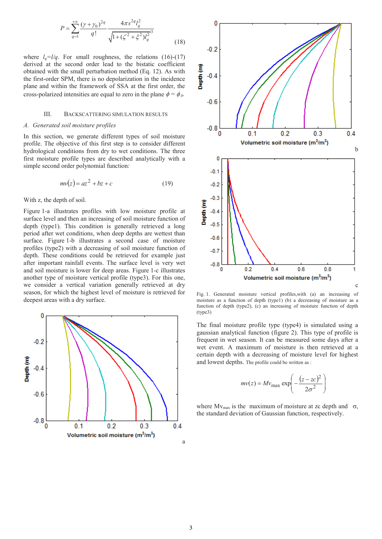$$
P = \sum_{q=1}^{+\infty} \frac{(\gamma + \gamma_0)^{2q}}{q!} \frac{4\pi s^{2q} l_q^2}{\sqrt{1 + (\zeta^2 + \xi^2)l_q^{2}}^3}
$$
(18)

where  $l_a = l/q$ . For small roughness, the relations (16)-(17) derived at the second order lead to the bistatic coefficient obtained with the small perturbation method (Eq. 12). As with the first-order SPM, there is no depolarization in the incidence plane and within the framework of SSA at the first order, the cross-polarized intensities are equal to zero in the plane  $\phi = \phi_0$ .

#### III. BACKSCATTERING SIMULATION RESULTS

#### *A. Generated soil moisture profiles*

In this section, we generate different types of soil moisture profile. The objective of this first step is to consider different hydrological conditions from dry to wet conditions. The three first moisture profile types are described analytically with a simple second order polynomial function:

$$
mv(z) = az^2 + bz + c \tag{19}
$$

With z, the depth of soil.

Figure 1-a illustrates profiles with low moisture profile at surface level and then an increasing of soil moisture function of depth (type1). This condition is generally retrieved a long period after wet conditions, when deep depths are wettest than surface. Figure 1-b illustrates a second case of moisture profiles (type2) with a decreasing of soil moisture function of depth. These conditions could be retrieved for example just after important rainfall events. The surface level is very wet and soil moisture is lower for deep areas. Figure 1-c illustrates another type of moisture vertical profile (type3). For this one, we consider a vertical variation generally retrieved at dry season, for which the highest level of moisture is retrieved for deepest areas with a dry surface.





Fig. 1. Generated moisture vertical profiles,with (a) an increasing of moisture as a function of depth (type1) (b) a decreasing of moisture as a function of depth (type2), (c) an increasing of moisture function of depth (type3)

The final moisture profile type (type4) is simulated using a gaussian analytical function (figure 2). This type of profile is frequent in wet season. It can be measured some days after a wet event. A maximum of moisture is then retrieved at a certain depth with a decreasing of moisture level for highest and lowest depths. The profile could be written as :

$$
mv(z) = Mv_{\text{max}} \exp\left(-\frac{(z - zc)^2}{2\sigma^2}\right)
$$

where  $Mv_{\text{max}}$  is the maximum of moisture at zc depth and  $\sigma$ , the standard deviation of Gaussian function, respectively.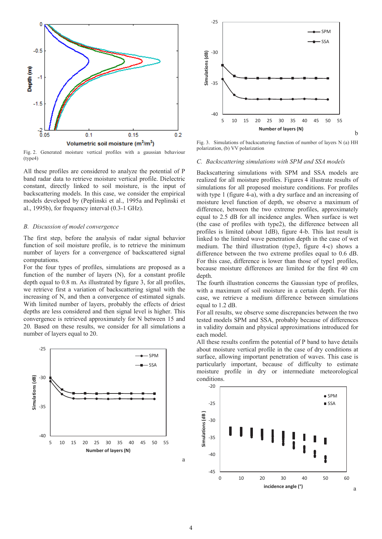

Fig. 2. Generated moisture vertical profiles with a gaussian behaviour (type4)

All these profiles are considered to analyze the potential of P band radar data to retrieve moisture vertical profile. Dielectric constant, directly linked to soil moisture, is the input of backscattering models. In this case, we consider the empirical models developed by (Peplinski et al., 1995a and Peplinski et al., 1995b), for frequency interval (0.3-1 GHz).

#### *B. Discussion of model convergence*

The first step, before the analysis of radar signal behavior function of soil moisture profile, is to retrieve the minimum number of layers for a convergence of backscattered signal computations.

For the four types of profiles, simulations are proposed as a function of the number of layers (N), for a constant profile depth equal to 0.8 m. As illustrated by figure 3, for all profiles, we retrieve first a variation of backscattering signal with the increasing of N, and then a convergence of estimated signals. With limited number of layers, probably the effects of driest depths are less considered and then signal level is higher. This convergence is retrieved approximately for N between 15 and 20. Based on these results, we consider for all simulations a number of layers equal to 20.





Fig. 3. Simulations of backscattering function of number of layers N (a) HH polarization, (b) VV polarization

b

#### *C. Backscattering simulations with SPM and SSA models*

Backscattering simulations with SPM and SSA models are realized for all moisture profiles. Figures 4 illustrate results of simulations for all proposed moisture conditions. For profiles with type 1 (figure 4-a), with a dry surface and an increasing of moisture level function of depth, we observe a maximum of difference, between the two extreme profiles, approximately equal to 2.5 dB for all incidence angles. When surface is wet (the case of profiles with type2), the difference between all profiles is limited (about 1dB), figure 4-b. This last result is linked to the limited wave penetration depth in the case of wet medium. The third illustration (type3, figure 4-c) shows a difference between the two extreme profiles equal to 0.6 dB. For this case, difference is lower than those of type1 profiles, because moisture differences are limited for the first 40 cm depth.

The fourth illustration concerns the Gaussian type of profiles, with a maximum of soil moisture in a certain depth. For this case, we retrieve a medium difference between simulations equal to 1.2 dB.

For all results, we observe some discrepancies between the two tested models SPM and SSA, probably because of differences in validity domain and physical approximations introduced for each model.

All these results confirm the potential of P band to have details about moisture vertical profile in the case of dry conditions at surface, allowing important penetration of waves. This case is particularly important, because of difficulty to estimate moisture profile in dry or intermediate meteorological conditions.



a